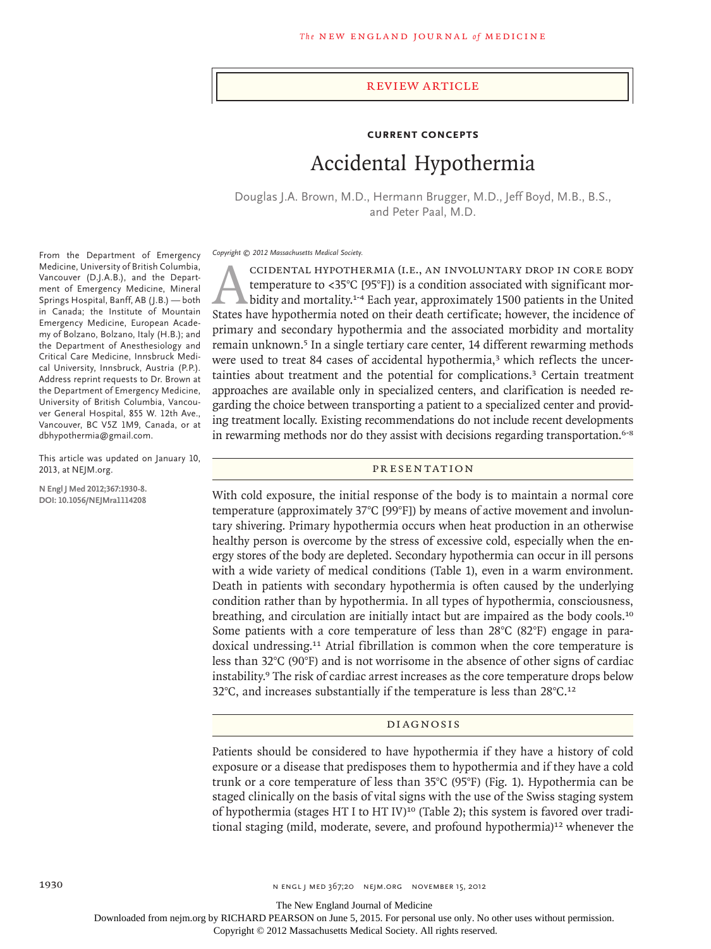#### review article

## **Current Concepts**

# Accidental Hypothermia

Douglas J.A. Brown, M.D., Hermann Brugger, M.D., Jeff Boyd, M.B., B.S., and Peter Paal, M.D.

*Copyright © 2012 Massachusetts Medical Society.*

CCIDENTAL HYPOTHERMIA (I.E., AN INVOLUNTARY DROP IN CORE BODY<br>temperature to <35°C [95°F]) is a condition associated with significant mor-<br>bidity and mortality.<sup>1-4</sup> Each year, approximately 1500 patients in the United<br>Sta temperature to <35°C [95°F]) is a condition associated with significant morbidity and mortality.<sup>1-4</sup> Each year, approximately 1500 patients in the United States have hypothermia noted on their death certificate; however, the incidence of primary and secondary hypothermia and the associated morbidity and mortality remain unknown.5 In a single tertiary care center, 14 different rewarming methods were used to treat 84 cases of accidental hypothermia,<sup>3</sup> which reflects the uncertainties about treatment and the potential for complications.3 Certain treatment approaches are available only in specialized centers, and clarification is needed regarding the choice between transporting a patient to a specialized center and providing treatment locally. Existing recommendations do not include recent developments in rewarming methods nor do they assist with decisions regarding transportation.<sup>6-8</sup>

PR ESEN TATION

With cold exposure, the initial response of the body is to maintain a normal core temperature (approximately 37°C [99°F]) by means of active movement and involuntary shivering. Primary hypothermia occurs when heat production in an otherwise healthy person is overcome by the stress of excessive cold, especially when the energy stores of the body are depleted. Secondary hypothermia can occur in ill persons with a wide variety of medical conditions (Table 1), even in a warm environment. Death in patients with secondary hypothermia is often caused by the underlying condition rather than by hypothermia. In all types of hypothermia, consciousness, breathing, and circulation are initially intact but are impaired as the body cools.<sup>10</sup> Some patients with a core temperature of less than 28°C (82°F) engage in paradoxical undressing.<sup>11</sup> Atrial fibrillation is common when the core temperature is less than 32°C (90°F) and is not worrisome in the absence of other signs of cardiac instability.<sup>9</sup> The risk of cardiac arrest increases as the core temperature drops below 32 $^{\circ}$ C, and increases substantially if the temperature is less than 28 $^{\circ}$ C.<sup>12</sup>

#### DI AGNOSIS

Patients should be considered to have hypothermia if they have a history of cold exposure or a disease that predisposes them to hypothermia and if they have a cold trunk or a core temperature of less than 35°C (95°F) (Fig. 1). Hypothermia can be staged clinically on the basis of vital signs with the use of the Swiss staging system of hypothermia (stages HT I to HT IV)<sup>10</sup> (Table 2); this system is favored over traditional staging (mild, moderate, severe, and profound hypothermia)<sup>12</sup> whenever the

From the Department of Emergency Medicine, University of British Columbia, Vancouver (D.J.A.B.), and the Department of Emergency Medicine, Mineral Springs Hospital, Banff, AB (J.B.) — both in Canada; the Institute of Mountain Emergency Medicine, European Academy of Bolzano, Bolzano, Italy (H.B.); and the Department of Anesthesiology and Critical Care Medicine, Innsbruck Medical University, Innsbruck, Austria (P.P.). Address reprint requests to Dr. Brown at the Department of Emergency Medicine, University of British Columbia, Vancouver General Hospital, 855 W. 12th Ave., Vancouver, BC V5Z 1M9, Canada, or at dbhypothermia@gmail.com.

This article was updated on January 10, 2013, at NEJM.org.

**N Engl J Med 2012;367:1930-8. DOI: 10.1056/NEJMra1114208**

The New England Journal of Medicine

Downloaded from nejm.org by RICHARD PEARSON on June 5, 2015. For personal use only. No other uses without permission.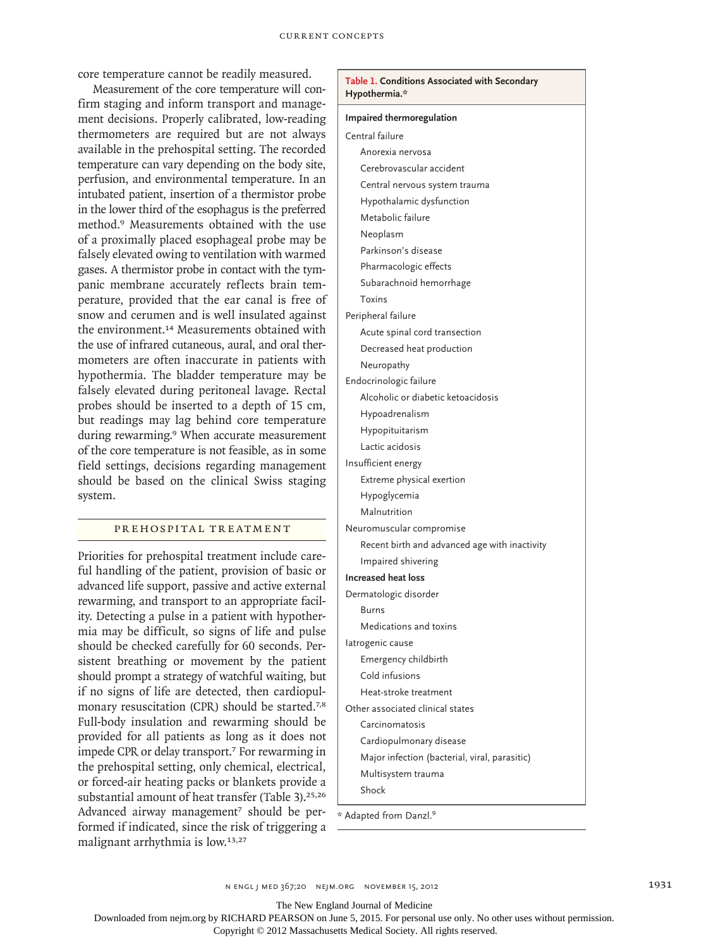core temperature cannot be readily measured.

Measurement of the core temperature will confirm staging and inform transport and management decisions. Properly calibrated, low-reading thermometers are required but are not always available in the prehospital setting. The recorded temperature can vary depending on the body site, perfusion, and environmental temperature. In an intubated patient, insertion of a thermistor probe in the lower third of the esophagus is the preferred method.9 Measurements obtained with the use of a proximally placed esophageal probe may be falsely elevated owing to ventilation with warmed gases. A thermistor probe in contact with the tympanic membrane accurately reflects brain temperature, provided that the ear canal is free of snow and cerumen and is well insulated against the environment.<sup>14</sup> Measurements obtained with the use of infrared cutaneous, aural, and oral thermometers are often inaccurate in patients with hypothermia. The bladder temperature may be falsely elevated during peritoneal lavage. Rectal probes should be inserted to a depth of 15 cm, but readings may lag behind core temperature during rewarming.<sup>9</sup> When accurate measurement of the core temperature is not feasible, as in some field settings, decisions regarding management should be based on the clinical Swiss staging system.

### PREHOSPITAL TREATMENT

Priorities for prehospital treatment include careful handling of the patient, provision of basic or advanced life support, passive and active external rewarming, and transport to an appropriate facility. Detecting a pulse in a patient with hypothermia may be difficult, so signs of life and pulse should be checked carefully for 60 seconds. Persistent breathing or movement by the patient should prompt a strategy of watchful waiting, but if no signs of life are detected, then cardiopulmonary resuscitation (CPR) should be started.<sup>7,8</sup> Full-body insulation and rewarming should be provided for all patients as long as it does not impede CPR or delay transport.<sup>7</sup> For rewarming in the prehospital setting, only chemical, electrical, or forced-air heating packs or blankets provide a substantial amount of heat transfer (Table 3).<sup>25,26</sup> Advanced airway management<sup>7</sup> should be performed if indicated, since the risk of triggering a malignant arrhythmia is low.13,27

| Table 1. Conditions Associated with Secondary<br>Hypothermia.* |  |  |  |  |
|----------------------------------------------------------------|--|--|--|--|
| Impaired thermoregulation                                      |  |  |  |  |
| Central failure                                                |  |  |  |  |
| Anorexia nervosa                                               |  |  |  |  |
| Cerebrovascular accident                                       |  |  |  |  |
| Central nervous system trauma                                  |  |  |  |  |
| Hypothalamic dysfunction                                       |  |  |  |  |
| Metabolic failure                                              |  |  |  |  |
| Neoplasm                                                       |  |  |  |  |
| Parkinson's disease                                            |  |  |  |  |
| Pharmacologic effects                                          |  |  |  |  |
| Subarachnoid hemorrhage                                        |  |  |  |  |
| Toxins                                                         |  |  |  |  |
| Peripheral failure                                             |  |  |  |  |
| Acute spinal cord transection                                  |  |  |  |  |
| Decreased heat production                                      |  |  |  |  |
| Neuropathy                                                     |  |  |  |  |
| Endocrinologic failure                                         |  |  |  |  |
| Alcoholic or diabetic ketoacidosis                             |  |  |  |  |
| Hypoadrenalism                                                 |  |  |  |  |
| Hypopituitarism                                                |  |  |  |  |
| Lactic acidosis                                                |  |  |  |  |
| Insufficient energy                                            |  |  |  |  |
| Extreme physical exertion                                      |  |  |  |  |
| Hypoglycemia                                                   |  |  |  |  |
| Malnutrition                                                   |  |  |  |  |
| Neuromuscular compromise                                       |  |  |  |  |
| Recent birth and advanced age with inactivity                  |  |  |  |  |
| Impaired shivering                                             |  |  |  |  |
| <b>Increased heat loss</b>                                     |  |  |  |  |
| Dermatologic disorder                                          |  |  |  |  |
| Burns                                                          |  |  |  |  |
| Medications and toxins                                         |  |  |  |  |
| latrogenic cause                                               |  |  |  |  |
| Emergency childbirth                                           |  |  |  |  |
| Cold infusions                                                 |  |  |  |  |
| Heat-stroke treatment                                          |  |  |  |  |
| Other associated clinical states                               |  |  |  |  |
| Carcinomatosis                                                 |  |  |  |  |
| Cardiopulmonary disease                                        |  |  |  |  |
| Major infection (bacterial, viral, parasitic)                  |  |  |  |  |
| Multisystem trauma                                             |  |  |  |  |
| Shock                                                          |  |  |  |  |

\* Adapted from Danzl.<sup>9</sup>

The New England Journal of Medicine

Downloaded from nejm.org by RICHARD PEARSON on June 5, 2015. For personal use only. No other uses without permission.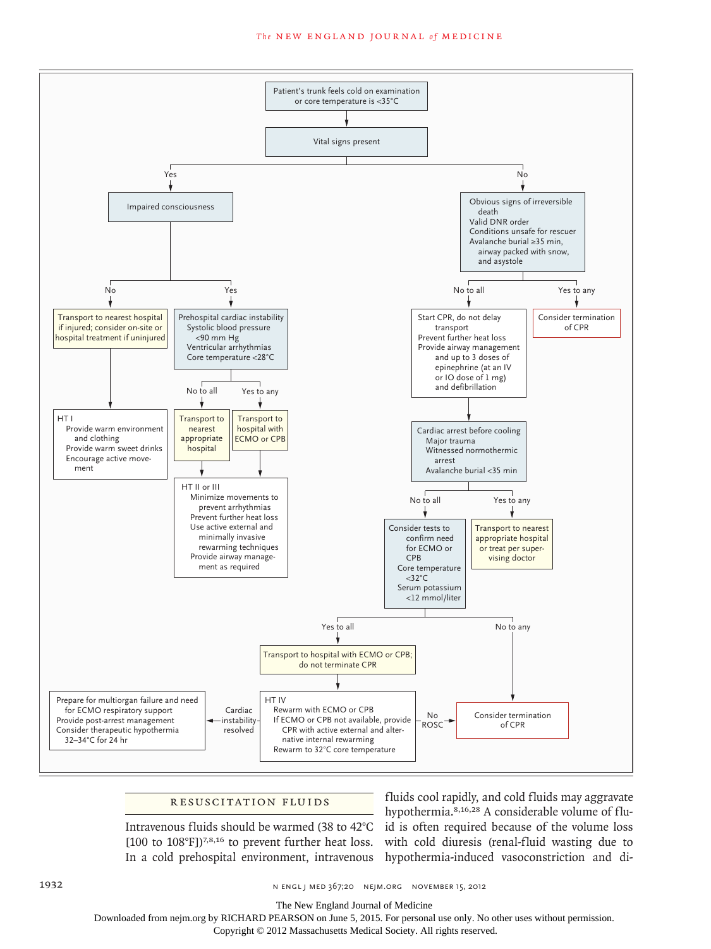#### The NEW ENGLAND JOURNAL of MEDICINE



#### RESUSCITATION FLUIDS

Intravenous fluids should be warmed (38 to 42°C [100 to 108°F])<sup>7,8,16</sup> to prevent further heat loss. In a cold prehospital environment, intravenous

fluids cool rapidly, and cold fluids may aggravate hypothermia.8,16,28 A considerable volume of fluid is often required because of the volume loss with cold diuresis (renal-fluid wasting due to hypothermia-induced vasoconstriction and di-

1932 **n engl j med 367;20 n engl j med 367;20 n** engl med 367;20 n ejm.org november 15, 2012

The New England Journal of Medicine

Downloaded from nejm.org by RICHARD PEARSON on June 5, 2015. For personal use only. No other uses without permission.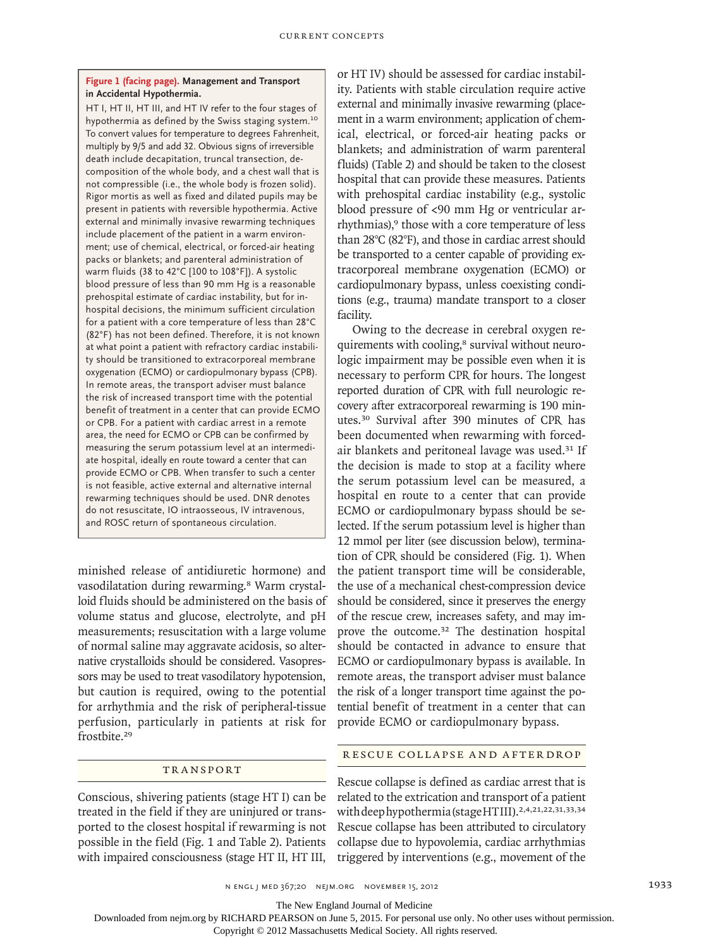### **Figure 1 (facing page). Management and Transport in Accidental Hypothermia.**

HT I, HT II, HT III, and HT IV refer to the four stages of hypothermia as defined by the Swiss staging system.<sup>10</sup> To convert values for temperature to degrees Fahrenheit, multiply by 9/5 and add 32. Obvious signs of irreversible death include decapitation, truncal transection, decomposition of the whole body, and a chest wall that is not compressible (i.e., the whole body is frozen solid). Rigor mortis as well as fixed and dilated pupils may be present in patients with reversible hypothermia. Active external and minimally invasive rewarming techniques include placement of the patient in a warm environment; use of chemical, electrical, or forced-air heating packs or blankets; and parenteral administration of warm fluids (38 to 42°C [100 to 108°F]). A systolic blood pressure of less than 90 mm Hg is a reasonable prehospital estimate of cardiac instability, but for inhospital decisions, the minimum sufficient circulation for a patient with a core temperature of less than 28°C (82°F) has not been defined. Therefore, it is not known at what point a patient with refractory cardiac instability should be transitioned to extracorporeal membrane oxygenation (ECMO) or cardiopulmonary bypass (CPB). In remote areas, the transport adviser must balance the risk of increased transport time with the potential benefit of treatment in a center that can provide ECMO or CPB. For a patient with cardiac arrest in a remote area, the need for ECMO or CPB can be confirmed by measuring the serum potassium level at an intermediate hospital, ideally en route toward a center that can provide ECMO or CPB. When transfer to such a center is not feasible, active external and alternative internal rewarming techniques should be used. DNR denotes do not resuscitate, IO intraosseous, IV intravenous, and ROSC return of spontaneous circulation.

minished release of antidiuretic hormone) and vasodilatation during rewarming.<sup>8</sup> Warm crystalloid fluids should be administered on the basis of volume status and glucose, electrolyte, and pH measurements; resuscitation with a large volume of normal saline may aggravate acidosis, so alternative crystalloids should be considered. Vasopressors may be used to treat vasodilatory hypotension, but caution is required, owing to the potential for arrhythmia and the risk of peripheral-tissue perfusion, particularly in patients at risk for frostbite.<sup>29</sup>

## TR A NSPORT

Conscious, shivering patients (stage HT I) can be treated in the field if they are uninjured or transported to the closest hospital if rewarming is not possible in the field (Fig. 1 and Table 2). Patients with impaired consciousness (stage HT II, HT III,

or HT IV) should be assessed for cardiac instability. Patients with stable circulation require active external and minimally invasive rewarming (placement in a warm environment; application of chemical, electrical, or forced-air heating packs or blankets; and administration of warm parenteral fluids) (Table 2) and should be taken to the closest hospital that can provide these measures. Patients with prehospital cardiac instability (e.g., systolic blood pressure of <90 mm Hg or ventricular arrhythmias),<sup>9</sup> those with a core temperature of less than 28°C (82°F), and those in cardiac arrest should be transported to a center capable of providing extracorporeal membrane oxygenation (ECMO) or cardiopulmonary bypass, unless coexisting conditions (e.g., trauma) mandate transport to a closer facility.

Owing to the decrease in cerebral oxygen requirements with cooling,<sup>8</sup> survival without neurologic impairment may be possible even when it is necessary to perform CPR for hours. The longest reported duration of CPR with full neurologic recovery after extracorporeal rewarming is 190 minutes.30 Survival after 390 minutes of CPR has been documented when rewarming with forcedair blankets and peritoneal lavage was used.31 If the decision is made to stop at a facility where the serum potassium level can be measured, a hospital en route to a center that can provide ECMO or cardiopulmonary bypass should be selected. If the serum potassium level is higher than 12 mmol per liter (see discussion below), termination of CPR should be considered (Fig. 1). When the patient transport time will be considerable, the use of a mechanical chest-compression device should be considered, since it preserves the energy of the rescue crew, increases safety, and may improve the outcome.32 The destination hospital should be contacted in advance to ensure that ECMO or cardiopulmonary bypass is available. In remote areas, the transport adviser must balance the risk of a longer transport time against the potential benefit of treatment in a center that can provide ECMO or cardiopulmonary bypass.

# R ESCUE COLL A PSE A ND A F TER DROP

Rescue collapse is defined as cardiac arrest that is related to the extrication and transport of a patient with deep hypothermia (stage HTIII).<sup>2,4,21,22,31,33,34</sup> Rescue collapse has been attributed to circulatory collapse due to hypovolemia, cardiac arrhythmias triggered by interventions (e.g., movement of the

The New England Journal of Medicine

Downloaded from nejm.org by RICHARD PEARSON on June 5, 2015. For personal use only. No other uses without permission.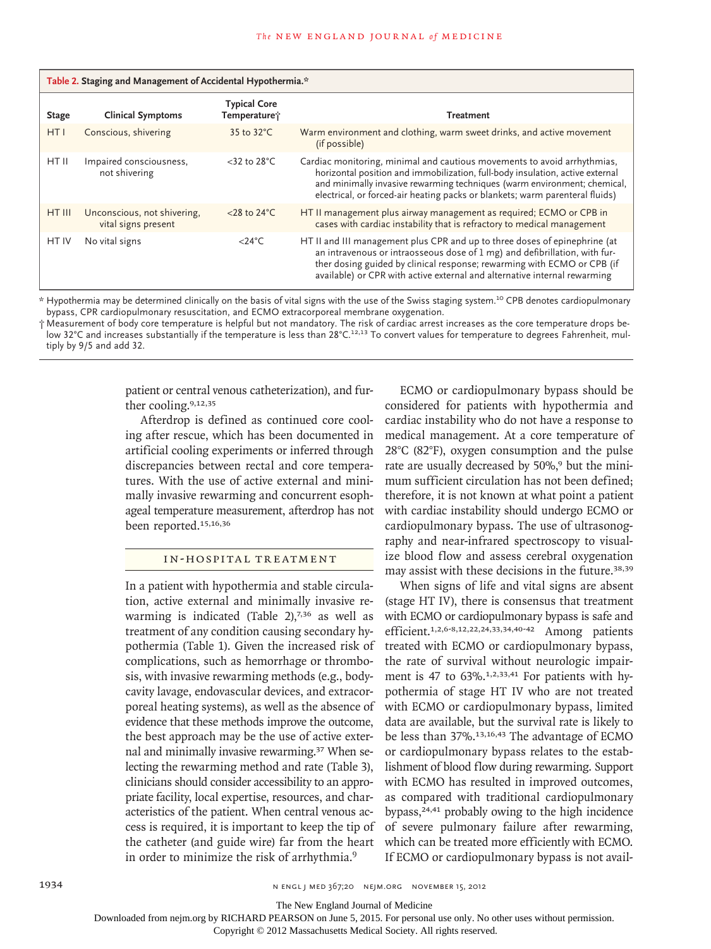| Table 2. Staging and Management of Accidental Hypothermia.* |                                                    |                                     |                                                                                                                                                                                                                                                                                                                       |  |  |
|-------------------------------------------------------------|----------------------------------------------------|-------------------------------------|-----------------------------------------------------------------------------------------------------------------------------------------------------------------------------------------------------------------------------------------------------------------------------------------------------------------------|--|--|
| <b>Stage</b>                                                | <b>Clinical Symptoms</b>                           | <b>Typical Core</b><br>Temperature; | <b>Treatment</b>                                                                                                                                                                                                                                                                                                      |  |  |
| HT <sub>I</sub>                                             | Conscious, shivering                               | 35 to $32^{\circ}$ C                | Warm environment and clothing, warm sweet drinks, and active movement<br>(if possible)                                                                                                                                                                                                                                |  |  |
| HT II                                                       | Impaired consciousness,<br>not shivering           | $<$ 32 to 28 $^{\circ}$ C           | Cardiac monitoring, minimal and cautious movements to avoid arrhythmias,<br>horizontal position and immobilization, full-body insulation, active external<br>and minimally invasive rewarming techniques (warm environment; chemical,<br>electrical, or forced-air heating packs or blankets; warm parenteral fluids) |  |  |
| HT III                                                      | Unconscious, not shivering,<br>vital signs present | <28 to $24^{\circ}$ C               | HT II management plus airway management as required; ECMO or CPB in<br>cases with cardiac instability that is refractory to medical management                                                                                                                                                                        |  |  |
| HT IV                                                       | No vital signs                                     | $<$ 24°C                            | HT II and III management plus CPR and up to three doses of epinephrine (at<br>an intravenous or intraosseous dose of 1 mg) and defibrillation, with fur-<br>ther dosing guided by clinical response; rewarming with ECMO or CPB (if<br>available) or CPR with active external and alternative internal rewarming      |  |  |

\* Hypothermia may be determined clinically on the basis of vital signs with the use of the Swiss staging system.10 CPB denotes cardiopulmonary bypass, CPR cardiopulmonary resuscitation, and ECMO extracorporeal membrane oxygenation.

† Measurement of body core temperature is helpful but not mandatory. The risk of cardiac arrest increases as the core temperature drops below 32°C and increases substantially if the temperature is less than 28°C.<sup>12,13</sup> To convert values for temperature to degrees Fahrenheit, multiply by 9/5 and add 32.

> patient or central venous catheterization), and further cooling.9,12,35

> Afterdrop is defined as continued core cooling after rescue, which has been documented in artificial cooling experiments or inferred through discrepancies between rectal and core temperatures. With the use of active external and minimally invasive rewarming and concurrent esophageal temperature measurement, afterdrop has not been reported.15,16,36

# IN-HOSPITAL TREATMENT

In a patient with hypothermia and stable circulation, active external and minimally invasive rewarming is indicated (Table 2), $7,36$  as well as treatment of any condition causing secondary hypothermia (Table 1). Given the increased risk of complications, such as hemorrhage or thrombosis, with invasive rewarming methods (e.g., bodycavity lavage, endovascular devices, and extracorporeal heating systems), as well as the absence of evidence that these methods improve the outcome, the best approach may be the use of active external and minimally invasive rewarming.37 When selecting the rewarming method and rate (Table 3), clinicians should consider accessibility to an appropriate facility, local expertise, resources, and characteristics of the patient. When central venous access is required, it is important to keep the tip of the catheter (and guide wire) far from the heart in order to minimize the risk of arrhythmia.<sup>9</sup>

ECMO or cardiopulmonary bypass should be considered for patients with hypothermia and cardiac instability who do not have a response to medical management. At a core temperature of 28°C (82°F), oxygen consumption and the pulse rate are usually decreased by 50%,<sup>9</sup> but the minimum sufficient circulation has not been defined; therefore, it is not known at what point a patient with cardiac instability should undergo ECMO or cardiopulmonary bypass. The use of ultrasonography and near-infrared spectroscopy to visualize blood flow and assess cerebral oxygenation may assist with these decisions in the future.38,39

When signs of life and vital signs are absent (stage HT IV), there is consensus that treatment with ECMO or cardiopulmonary bypass is safe and efficient.1,2,6-8,12,22,24,33,34,40-42 Among patients treated with ECMO or cardiopulmonary bypass, the rate of survival without neurologic impairment is 47 to 63%.<sup>1,2,33,41</sup> For patients with hypothermia of stage HT IV who are not treated with ECMO or cardiopulmonary bypass, limited data are available, but the survival rate is likely to be less than 37%.13,16,43 The advantage of ECMO or cardiopulmonary bypass relates to the establishment of blood flow during rewarming. Support with ECMO has resulted in improved outcomes, as compared with traditional cardiopulmonary bypass,24,41 probably owing to the high incidence of severe pulmonary failure after rewarming, which can be treated more efficiently with ECMO. If ECMO or cardiopulmonary bypass is not avail-

1934 1934 **n engl j med 367;20 nejm.org november 15, 2012** 

The New England Journal of Medicine

Downloaded from nejm.org by RICHARD PEARSON on June 5, 2015. For personal use only. No other uses without permission.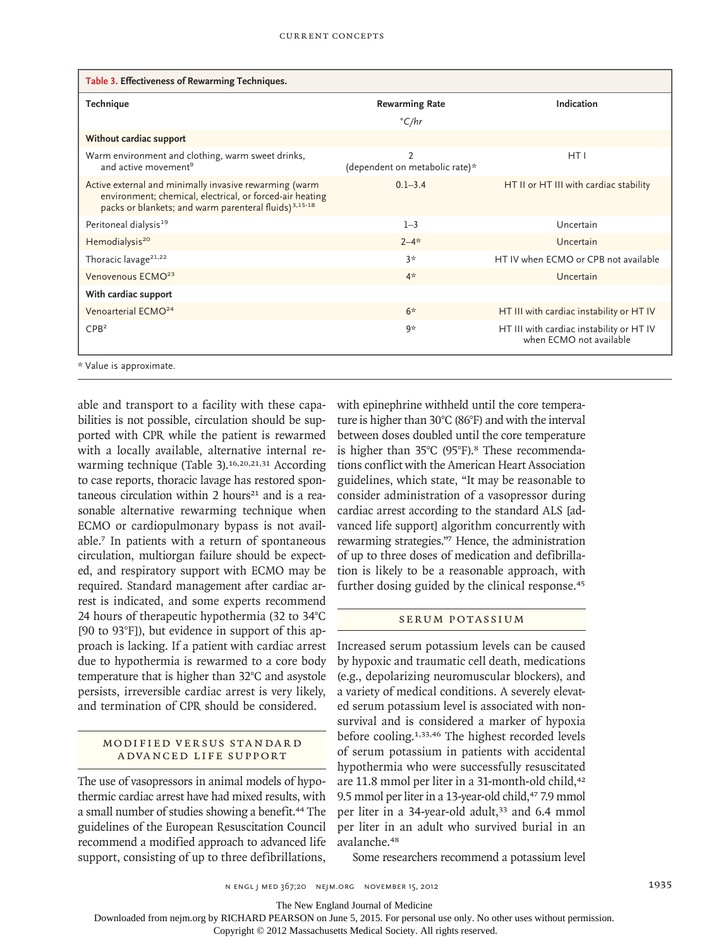| Table 3. Effectiveness of Rewarming Techniques.                                                                                                                                         |                                                  |                                                                     |  |  |  |
|-----------------------------------------------------------------------------------------------------------------------------------------------------------------------------------------|--------------------------------------------------|---------------------------------------------------------------------|--|--|--|
| Technique                                                                                                                                                                               | <b>Rewarming Rate</b>                            | Indication                                                          |  |  |  |
|                                                                                                                                                                                         | C/hr                                             |                                                                     |  |  |  |
| Without cardiac support                                                                                                                                                                 |                                                  |                                                                     |  |  |  |
| Warm environment and clothing, warm sweet drinks,<br>and active movement <sup>9</sup>                                                                                                   | $\overline{2}$<br>(dependent on metabolic rate)* | HT I                                                                |  |  |  |
| Active external and minimally invasive rewarming (warm<br>environment; chemical, electrical, or forced-air heating<br>packs or blankets; and warm parenteral fluids) <sup>3,15-18</sup> | $0.1 - 3.4$                                      | HT II or HT III with cardiac stability                              |  |  |  |
| Peritoneal dialysis <sup>19</sup>                                                                                                                                                       | $1 - 3$                                          | Uncertain                                                           |  |  |  |
| Hemodialysis <sup>20</sup>                                                                                                                                                              | $2 - 4*$                                         | Uncertain                                                           |  |  |  |
| Thoracic lavage <sup>21,22</sup>                                                                                                                                                        | $3*$                                             | HT IV when ECMO or CPB not available                                |  |  |  |
| Venovenous ECMO <sup>23</sup>                                                                                                                                                           | $4*$                                             | Uncertain                                                           |  |  |  |
| With cardiac support                                                                                                                                                                    |                                                  |                                                                     |  |  |  |
| Venoarterial ECMO <sup>24</sup>                                                                                                                                                         | $6*$                                             | HT III with cardiac instability or HT IV                            |  |  |  |
| CPB <sup>2</sup>                                                                                                                                                                        | 9*                                               | HT III with cardiac instability or HT IV<br>when ECMO not available |  |  |  |
| * Value is approximate.                                                                                                                                                                 |                                                  |                                                                     |  |  |  |

able and transport to a facility with these capabilities is not possible, circulation should be supported with CPR while the patient is rewarmed with a locally available, alternative internal rewarming technique (Table 3).<sup>16,20,21,31</sup> According to case reports, thoracic lavage has restored spontaneous circulation within  $2$  hours<sup>21</sup> and is a reasonable alternative rewarming technique when ECMO or cardiopulmonary bypass is not available.7 In patients with a return of spontaneous circulation, multiorgan failure should be expected, and respiratory support with ECMO may be required. Standard management after cardiac arrest is indicated, and some experts recommend 24 hours of therapeutic hypothermia (32 to 34°C [90 to 93°F]), but evidence in support of this approach is lacking. If a patient with cardiac arrest due to hypothermia is rewarmed to a core body temperature that is higher than 32°C and asystole persists, irreversible cardiac arrest is very likely, and termination of CPR should be considered.

# MODIFIED VERSUS STANDARD A DVA NCED LIFE SUPPORT

The use of vasopressors in animal models of hypothermic cardiac arrest have had mixed results, with a small number of studies showing a benefit.<sup>44</sup> The guidelines of the European Resuscitation Council recommend a modified approach to advanced life support, consisting of up to three defibrillations,

with epinephrine withheld until the core temperature is higher than 30°C (86°F) and with the interval between doses doubled until the core temperature is higher than 35°C (95°F).8 These recommendations conflict with the American Heart Association guidelines, which state, "It may be reasonable to consider administration of a vasopressor during cardiac arrest according to the standard ALS [advanced life support] algorithm concurrently with rewarming strategies."7 Hence, the administration of up to three doses of medication and defibrillation is likely to be a reasonable approach, with further dosing guided by the clinical response.<sup>45</sup>

# SERUM POTASSIUM

Increased serum potassium levels can be caused by hypoxic and traumatic cell death, medications (e.g., depolarizing neuromuscular blockers), and a variety of medical conditions. A severely elevated serum potassium level is associated with nonsurvival and is considered a marker of hypoxia before cooling.1,33,46 The highest recorded levels of serum potassium in patients with accidental hypothermia who were successfully resuscitated are 11.8 mmol per liter in a 31-month-old child,<sup>42</sup> 9.5 mmol per liter in a 13-year-old child,<sup>47</sup> 7.9 mmol per liter in a 34-year-old adult,<sup>33</sup> and 6.4 mmol per liter in an adult who survived burial in an avalanche.<sup>48</sup>

Some researchers recommend a potassium level

n engl j med 367;20 nejm.org november 15, 2012 1935

The New England Journal of Medicine

Downloaded from nejm.org by RICHARD PEARSON on June 5, 2015. For personal use only. No other uses without permission.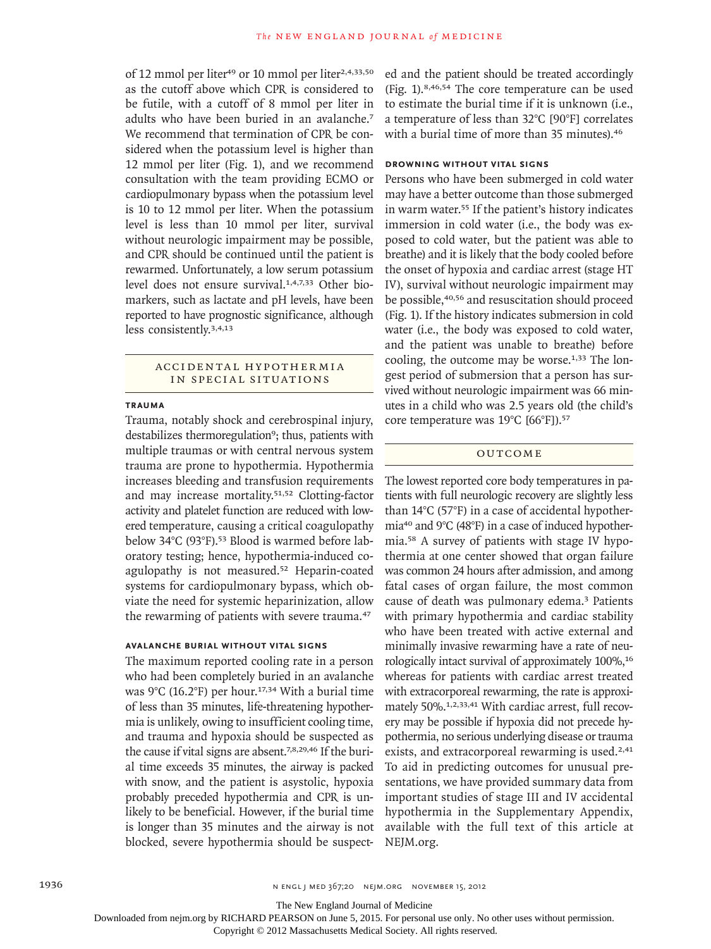of 12 mmol per liter<sup>49</sup> or 10 mmol per liter<sup>2,4,33,50</sup> as the cutoff above which CPR is considered to be futile, with a cutoff of 8 mmol per liter in adults who have been buried in an avalanche.<sup>7</sup> We recommend that termination of CPR be considered when the potassium level is higher than 12 mmol per liter (Fig. 1), and we recommend consultation with the team providing ECMO or cardiopulmonary bypass when the potassium level is 10 to 12 mmol per liter. When the potassium level is less than 10 mmol per liter, survival without neurologic impairment may be possible, and CPR should be continued until the patient is rewarmed. Unfortunately, a low serum potassium level does not ensure survival.1,4,7,33 Other biomarkers, such as lactate and pH levels, have been reported to have prognostic significance, although less consistently.3,4,13

# ACCIDEN TA L H Y PO THER MI A IN SPECIAL SITUATIONS

#### **TRAUMA**

Trauma, notably shock and cerebrospinal injury, destabilizes thermoregulation<sup>9</sup>; thus, patients with multiple traumas or with central nervous system trauma are prone to hypothermia. Hypothermia increases bleeding and transfusion requirements and may increase mortality.51,52 Clotting-factor activity and platelet function are reduced with lowered temperature, causing a critical coagulopathy below 34°C (93°F).<sup>53</sup> Blood is warmed before laboratory testing; hence, hypothermia-induced coagulopathy is not measured.<sup>52</sup> Heparin-coated systems for cardiopulmonary bypass, which obviate the need for systemic heparinization, allow the rewarming of patients with severe trauma.<sup>47</sup>

### **AVALANCHE BURIAL WITHOUT VITAL SIGNS**

The maximum reported cooling rate in a person who had been completely buried in an avalanche was  $9^{\circ}$ C (16.2°F) per hour.<sup>17,34</sup> With a burial time of less than 35 minutes, life-threatening hypothermia is unlikely, owing to insufficient cooling time, and trauma and hypoxia should be suspected as the cause if vital signs are absent.<sup>7,8,29,46</sup> If the burial time exceeds 35 minutes, the airway is packed with snow, and the patient is asystolic, hypoxia probably preceded hypothermia and CPR is unlikely to be beneficial. However, if the burial time is longer than 35 minutes and the airway is not blocked, severe hypothermia should be suspected and the patient should be treated accordingly (Fig. 1).8,46,54 The core temperature can be used to estimate the burial time if it is unknown (i.e., a temperature of less than 32°C [90°F] correlates with a burial time of more than 35 minutes).<sup>46</sup>

# **DROWNING WITHOUT VITAL SIGNS**

Persons who have been submerged in cold water may have a better outcome than those submerged in warm water.<sup>55</sup> If the patient's history indicates immersion in cold water (i.e., the body was exposed to cold water, but the patient was able to breathe) and it is likely that the body cooled before the onset of hypoxia and cardiac arrest (stage HT IV), survival without neurologic impairment may be possible,40,56 and resuscitation should proceed (Fig. 1). If the history indicates submersion in cold water (i.e., the body was exposed to cold water, and the patient was unable to breathe) before cooling, the outcome may be worse. $1,33$  The longest period of submersion that a person has survived without neurologic impairment was 66 minutes in a child who was 2.5 years old (the child's core temperature was 19°C [66°F]).<sup>57</sup>

# **OUTCOME**

The lowest reported core body temperatures in patients with full neurologic recovery are slightly less than 14°C (57°F) in a case of accidental hypothermia40 and 9°C (48°F) in a case of induced hypothermia.58 A survey of patients with stage IV hypothermia at one center showed that organ failure was common 24 hours after admission, and among fatal cases of organ failure, the most common cause of death was pulmonary edema.3 Patients with primary hypothermia and cardiac stability who have been treated with active external and minimally invasive rewarming have a rate of neurologically intact survival of approximately 100%,<sup>16</sup> whereas for patients with cardiac arrest treated with extracorporeal rewarming, the rate is approximately 50%.1,2,33,41 With cardiac arrest, full recovery may be possible if hypoxia did not precede hypothermia, no serious underlying disease or trauma exists, and extracorporeal rewarming is used.<sup>2,41</sup> To aid in predicting outcomes for unusual presentations, we have provided summary data from important studies of stage III and IV accidental hypothermia in the Supplementary Appendix, available with the full text of this article at NEJM.org.

The New England Journal of Medicine

Downloaded from nejm.org by RICHARD PEARSON on June 5, 2015. For personal use only. No other uses without permission.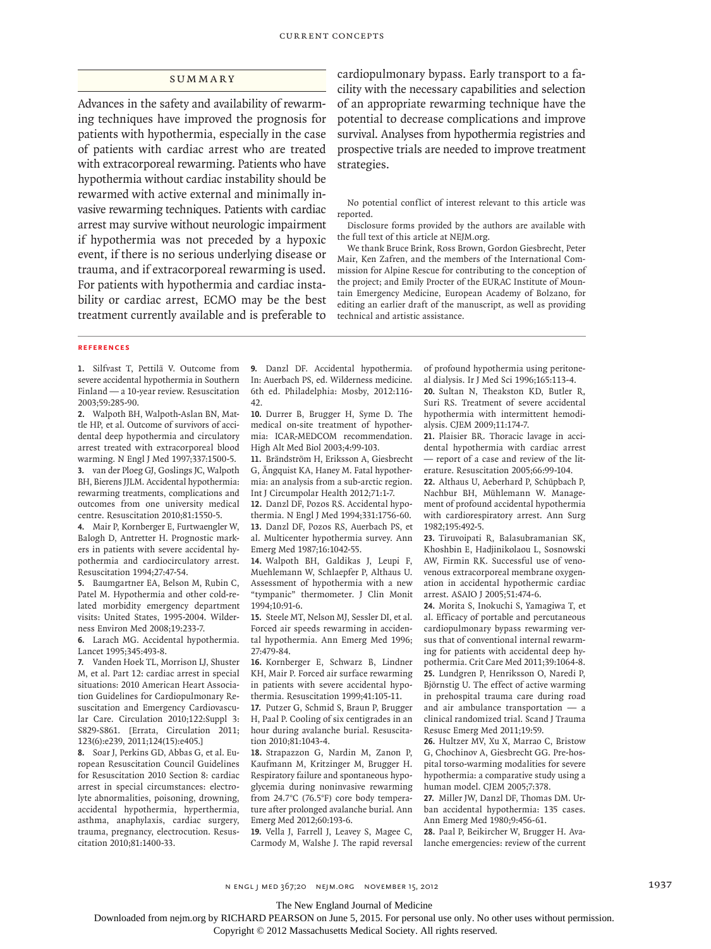## **SUMMARY**

Advances in the safety and availability of rewarming techniques have improved the prognosis for patients with hypothermia, especially in the case of patients with cardiac arrest who are treated with extracorporeal rewarming. Patients who have hypothermia without cardiac instability should be rewarmed with active external and minimally invasive rewarming techniques. Patients with cardiac arrest may survive without neurologic impairment if hypothermia was not preceded by a hypoxic event, if there is no serious underlying disease or trauma, and if extracorporeal rewarming is used. For patients with hypothermia and cardiac instability or cardiac arrest, ECMO may be the best treatment currently available and is preferable to cardiopulmonary bypass. Early transport to a facility with the necessary capabilities and selection of an appropriate rewarming technique have the potential to decrease complications and improve survival. Analyses from hypothermia registries and prospective trials are needed to improve treatment strategies.

No potential conflict of interest relevant to this article was reported.

Disclosure forms provided by the authors are available with the full text of this article at NEJM.org.

We thank Bruce Brink, Ross Brown, Gordon Giesbrecht, Peter Mair, Ken Zafren, and the members of the International Commission for Alpine Rescue for contributing to the conception of the project; and Emily Procter of the EURAC Institute of Mountain Emergency Medicine, European Academy of Bolzano, for editing an earlier draft of the manuscript, as well as providing technical and artistic assistance.

#### **REFERENCES**

**1.** Silfvast T, Pettilä V. Outcome from severe accidental hypothermia in Southern Finland — a 10-year review. Resuscitation 2003;59:285-90.

**2.** Walpoth BH, Walpoth-Aslan BN, Mattle HP, et al. Outcome of survivors of accidental deep hypothermia and circulatory arrest treated with extracorporeal blood warming. N Engl J Med 1997;337:1500-5.

**3.** van der Ploeg GJ, Goslings JC, Walpoth BH, Bierens JJLM. Accidental hypothermia: rewarming treatments, complications and outcomes from one university medical centre. Resuscitation 2010;81:1550-5.

**4.** Mair P, Kornberger E, Furtwaengler W, Balogh D, Antretter H. Prognostic markers in patients with severe accidental hypothermia and cardiocirculatory arrest. Resuscitation 1994;27:47-54.

**5.** Baumgartner EA, Belson M, Rubin C, Patel M. Hypothermia and other cold-related morbidity emergency department visits: United States, 1995-2004. Wilderness Environ Med 2008;19:233-7.

**6.** Larach MG. Accidental hypothermia. Lancet 1995;345:493-8.

**7.** Vanden Hoek TL, Morrison LJ, Shuster M, et al. Part 12: cardiac arrest in special situations: 2010 American Heart Association Guidelines for Cardiopulmonary Resuscitation and Emergency Cardiovascular Care. Circulation 2010;122:Suppl 3: S829-S861. [Errata, Circulation 2011; 123(6):e239, 2011;124(15):e405.]

**8.** Soar J, Perkins GD, Abbas G, et al. European Resuscitation Council Guidelines for Resuscitation 2010 Section 8: cardiac arrest in special circumstances: electrolyte abnormalities, poisoning, drowning, accidental hypothermia, hyperthermia, asthma, anaphylaxis, cardiac surgery, trauma, pregnancy, electrocution. Resuscitation 2010;81:1400-33.

**9.** Danzl DF. Accidental hypothermia. In: Auerbach PS, ed. Wilderness medicine. 6th ed. Philadelphia: Mosby, 2012:116- 42.

**10.** Durrer B, Brugger H, Syme D. The medical on-site treatment of hypothermia: ICAR-MEDCOM recommendation. High Alt Med Biol 2003;4:99-103.

**11.** Brändström H, Eriksson A, Giesbrecht G, Ängquist KA, Haney M. Fatal hypothermia: an analysis from a sub-arctic region. Int J Circumpolar Health 2012;71:1-7.

**12.** Danzl DF, Pozos RS. Accidental hypothermia. N Engl J Med 1994;331:1756-60. **13.** Danzl DF, Pozos RS, Auerbach PS, et al. Multicenter hypothermia survey. Ann Emerg Med 1987;16:1042-55.

**14.** Walpoth BH, Galdikas J, Leupi F, Muehlemann W, Schlaepfer P, Althaus U. Assessment of hypothermia with a new "tympanic" thermometer. J Clin Monit 1994;10:91-6.

**15.** Steele MT, Nelson MJ, Sessler DI, et al. Forced air speeds rewarming in accidental hypothermia. Ann Emerg Med 1996; 27:479-84.

**16.** Kornberger E, Schwarz B, Lindner KH, Mair P. Forced air surface rewarming in patients with severe accidental hypothermia. Resuscitation 1999;41:105-11.

**17.** Putzer G, Schmid S, Braun P, Brugger H, Paal P. Cooling of six centigrades in an hour during avalanche burial. Resuscitation 2010;81:1043-4.

**18.** Strapazzon G, Nardin M, Zanon P, Kaufmann M, Kritzinger M, Brugger H. Respiratory failure and spontaneous hypoglycemia during noninvasive rewarming from 24.7°C (76.5°F) core body temperature after prolonged avalanche burial. Ann Emerg Med 2012;60:193-6.

**19.** Vella J, Farrell J, Leavey S, Magee C, Carmody M, Walshe J. The rapid reversal of profound hypothermia using peritoneal dialysis. Ir J Med Sci 1996;165:113-4.

**20.** Sultan N, Theakston KD, Butler R, Suri RS. Treatment of severe accidental hypothermia with intermittent hemodialysis. CJEM 2009;11:174-7.

**21.** Plaisier BR. Thoracic lavage in accidental hypothermia with cardiac arrest — report of a case and review of the literature. Resuscitation 2005;66:99-104.

**22.** Althaus U, Aeberhard P, Schüpbach P, Nachbur BH, Mühlemann W. Management of profound accidental hypothermia with cardiorespiratory arrest. Ann Surg 1982;195:492-5.

**23.** Tiruvoipati R, Balasubramanian SK, Khoshbin E, Hadjinikolaou L, Sosnowski AW, Firmin RK. Successful use of venovenous extracorporeal membrane oxygenation in accidental hypothermic cardiac arrest. ASAIO J 2005;51:474-6.

**24.** Morita S, Inokuchi S, Yamagiwa T, et al. Efficacy of portable and percutaneous cardiopulmonary bypass rewarming versus that of conventional internal rewarming for patients with accidental deep hypothermia. Crit Care Med 2011;39:1064-8. **25.** Lundgren P, Henriksson O, Naredi P, Björnstig U. The effect of active warming in prehospital trauma care during road and air ambulance transportation — a clinical randomized trial. Scand J Trauma Resusc Emerg Med 2011;19:59.

**26.** Hultzer MV, Xu X, Marrao C, Bristow G, Chochinov A, Giesbrecht GG. Pre-hospital torso-warming modalities for severe hypothermia: a comparative study using a human model. CJEM 2005;7:378.

**27.** Miller JW, Danzl DF, Thomas DM. Urban accidental hypothermia: 135 cases. Ann Emerg Med 1980;9:456-61.

**28.** Paal P, Beikircher W, Brugger H. Avalanche emergencies: review of the current

n engl j med 367;20 nejm.org november 15, 2012 1937

The New England Journal of Medicine

Downloaded from nejm.org by RICHARD PEARSON on June 5, 2015. For personal use only. No other uses without permission.